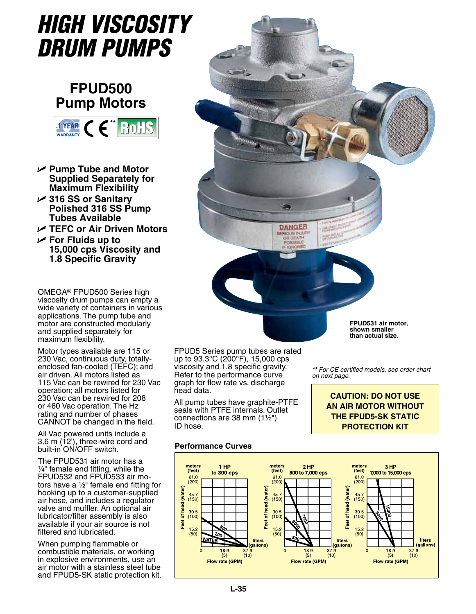# *High Viscosity Drum Pumps*

# **FPUD500 Pump Motors**



- U **Pump Tube and Motor Supplied Separately for Maximum Flexibility**
- U **316 SS or Sanitary Polished 316 SS Pump Tubes Available**
- U **TEFC or Air Driven Motors**
- U **For Fluids up to 15,000 cps Viscosity and 1.8 Specific Gravity**

OMEGA® FPUD500 Series high viscosity drum pumps can empty a wide variety of containers in various applications. The pump tube and motor are constructed modularly and supplied separately for maximum flexibility.

Motor types available are 115 or 230 Vac, continuous duty, totallyenclosed fan-cooled (TEFC); and air driven. All motors listed as 115 Vac can be rewired for 230 Vac operation; all motors listed for 230 Vac can be rewired for 208 or 460 Vac operation. The Hz rating and number of phases CANNOT be changed in the field.

All Vac powered units include a 3.6 m (12'), three-wire cord and built-in ON/OFF switch.

The FPUD531 air motor has a 1/4" female end fitting, while the FPUD532 and FPUD533 air motors have a  $\frac{1}{2}$ " female end fitting for hooking up to a customer-supplied air hose, and includes a regulator valve and muffler. An optional air lubricator/filter assembly is also available if your air source is not filtered and lubricated.

When pumping flammable or combustible materials, or working in explosive environments, use an air motor with a stainless steel tube and FPUD5-SK static protection kit.



FPUD5 Series pump tubes are rated up to 93.3°C (200°F), 15,000 cps viscosity and 1.8 specific gravity. Refer to the performance curve graph for flow rate vs. discharge head data.

All pump tubes have graphite-PTFE seals with PTFE internals. Outlet connections are 38 mm  $(1\frac{1}{2})$ ID hose.

*\*\* For CE certified models, see order chart* 

*on next page.*

**CAUTION: DO NOT USE AN AIR MOTOR WITHOUT THE FPUD5-SK STATIC PROTECTION KIT**

### **Performance Curves**